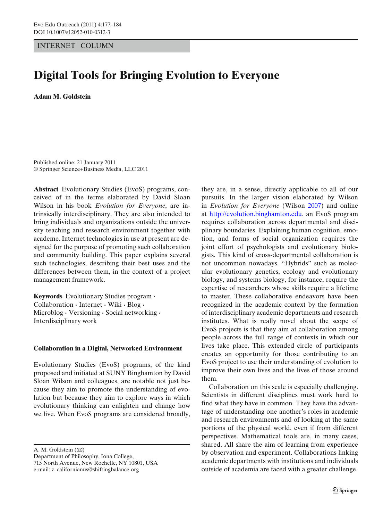# INTERNET COLUMN

# **Digital Tools for Bringing Evolution to Everyone**

**Adam M. Goldstein**

Published online: 21 January 2011 © Springer Science+Business Media, LLC 2011

**Abstract** Evolutionary Studies (EvoS) programs, conceived of in the terms elaborated by David Sloan Wilson in his book *Evolution for Everyone*, are intrinsically interdisciplinary. They are also intended to bring individuals and organizations outside the university teaching and research environment together with academe. Internet technologies in use at present are designed for the purpose of promoting such collaboration and community building. This paper explains several such technologies, describing their best uses and the differences between them, in the context of a project management framework.

**Keywords** Evolutionary Studies program **·** Collaboration **·** Internet **·** Wiki **·** Blog **·** Microblog **·** Versioning **·** Social networking **·** Interdisciplinary work

### **Collaboration in a Digital, Networked Environment**

Evolutionary Studies (EvoS) programs, of the kind proposed and initiated at SUNY Binghamton by David Sloan Wilson and colleagues, are notable not just because they aim to promote the understanding of evolution but because they aim to explore ways in which evolutionary thinking can enlighten and change how we live. When EvoS programs are considered broadly,

Department of Philosophy, Iona College, 715 North Avenue, New Rochelle, NY 10801, USA

e-mail: z\_californianus@shiftingbalance.org

they are, in a sense, directly applicable to all of our pursuits. In the larger vision elaborated by Wilson in *Evolution for Everyone* (Wilso[n](#page-7-0) [2007](#page-7-0)) and online at [http://evolution.binghamton.edu,](http://evolution.binghamton.edu) an EvoS program requires collaboration across departmental and disciplinary boundaries. Explaining human cognition, emotion, and forms of social organization requires the joint effort of psychologists and evolutionary biologists. This kind of cross-departmental collaboration is not uncommon nowadays. "Hybrids" such as molecular evolutionary genetics, ecology and evolutionary biology, and systems biology, for instance, require the expertise of researchers whose skills require a lifetime to master. These collaborative endeavors have been recognized in the academic context by the formation of interdisciplinary academic departments and research institutes. What is really novel about the scope of EvoS projects is that they aim at collaboration among people across the full range of contexts in which our lives take place. This extended circle of participants creates an opportunity for those contributing to an EvoS project to use their understanding of evolution to improve their own lives and the lives of those around them.

Collaboration on this scale is especially challenging. Scientists in different disciplines must work hard to find what they have in common. They have the advantage of understanding one another's roles in academic and research environments and of looking at the same portions of the physical world, even if from different perspectives. Mathematical tools are, in many cases, shared. All share the aim of learning from experience by observation and experiment. Collaborations linking academic departments with institutions and individuals outside of academia are faced with a greater challenge.

A. M. Goldstein  $(\boxtimes)$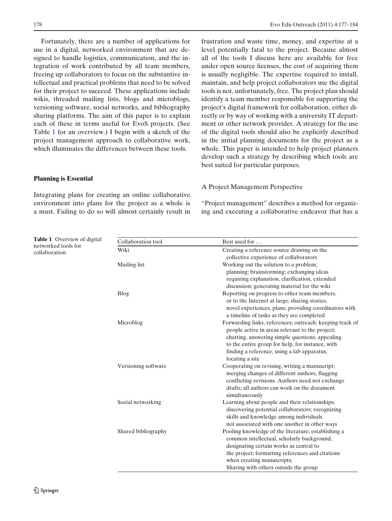Fortunately, there are a number of applications for use in a digital, networked environment that are designed to handle logistics, communication, and the integration of work contributed by all team members, freeing up collaborators to focus on the substantive intellectual and practical problems that need to be solved for their project to succeed. These applications include wikis, threaded mailing lists, blogs and microblogs, versioning software, social networks, and bibliography sharing platforms. The aim of this paper is to explain each of these in terms useful for EvoS projects. (See Table 1 for an overview.) I begin with a sketch of the project management approach to collaborative work, which illuminates the differences between these tools.

#### **Planning is Essential**

**Table 1** Overview of digital networked tools for collaboration

Integrating plans for creating an online collaborative environment into plans for the project as a whole is a must. Failing to do so will almost certainly result in frustration and waste time, money, and expertise at a level potentially fatal to the project. Because almost all of the tools I discuss here are available for free under open source licenses, the cost of acquiring them is usually negligible. The expertise required to install, maintain, and help project collaborators use the digital tools is not, unfortunately, free. The project plan should identify a team member responsible for supporting the project's digital framework for collaboration, either directly or by way of working with a university IT department or other network provider. A strategy for the use of the digital tools should also be explicitly described in the initial planning documents for the project as a whole. This paper is intended to help project planners develop such a strategy by describing which tools are best suited for particular purposes.

#### A Project Management Perspective

"Project management" describes a method for organizing and executing a collaborative endeavor that has a

| Collaboration tool  | Best used for                                            |
|---------------------|----------------------------------------------------------|
| Wiki                | Creating a reference source drawing on the               |
|                     | collective experience of collaborators                   |
| Mailing list        | Working out the solution to a problem;                   |
|                     | planning; brainstorming; exchanging ideas                |
|                     | requiring explanation, clarification, extended           |
|                     | discussion; generating material for the wiki             |
| Blog                | Reporting on progress to other team members,             |
|                     | or to the Internet at large; sharing stories,            |
|                     | novel experiences, plans; providing coordinators with    |
|                     | a timeline of tasks as they are completed                |
| Microblog           | Forwarding links, references; outreach; keeping track of |
|                     | people active in areas relevant to the project;          |
|                     | chatting, answering simple questions; appealing          |
|                     | to the entire group for help, for instance, with         |
|                     | finding a reference, using a lab apparatus,              |
|                     | locating a site                                          |
| Versioning software | Cooperating on revising, writing a manuscript;           |
|                     | merging changes of different authors, flagging           |
|                     | conflicting revisions. Authors need not exchange         |
|                     | drafts; all authors can work on the document             |
|                     | simultaneously                                           |
| Social networking   | Learning about people and their relationships;           |
|                     | discovering potential collaborators; recognizing         |
|                     | skills and knowledge among individuals                   |
|                     | not associated with one another in other ways            |
| Shared bibliography | Pooling knowledge of the literature; establishing a      |
|                     | common intellectual, scholarly background,               |
|                     | designating certain works as central to                  |
|                     | the project; formatting references and citations         |
|                     | when creating manuscripts;                               |
|                     | Sharing with others outside the group                    |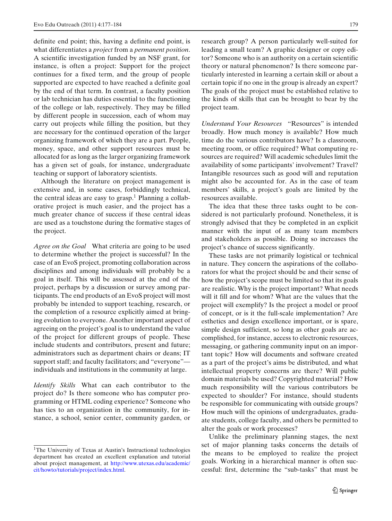definite end point; this, having a definite end point, is what differentiates a *project* from a *permanent position*. A scientific investigation funded by an NSF grant, for instance, is often a project: Support for the project continues for a fixed term, and the group of people supported are expected to have reached a definite goal by the end of that term. In contrast, a faculty position or lab technician has duties essential to the functioning of the college or lab, respectively. They may be filled by different people in succession, each of whom may carry out projects while filling the position, but they are necessary for the continued operation of the larger organizing framework of which they are a part. People, money, space, and other support resources must be allocated for as long as the larger organizing framework has a given set of goals, for instance, undergraduate teaching or support of laboratory scientists.

Although the literature on project management is extensive and, in some cases, forbiddingly technical, the central ideas are easy to grasp.<sup>1</sup> Planning a collaborative project is much easier, and the project has a much greater chance of success if these central ideas are used as a touchstone during the formative stages of the project.

*Agree on the Goal* What criteria are going to be used to determine whether the project is successful? In the case of an EvoS project, promoting collaboration across disciplines and among individuals will probably be a goal in itself. This will be assessed at the end of the project, perhaps by a discussion or survey among participants. The end products of an EvoS project will most probably be intended to support teaching, research, or the completion of a resource explicitly aimed at bringing evolution to everyone. Another important aspect of agreeing on the project's goal is to understand the value of the project for different groups of people. These include students and contributors, present and future; administrators such as department chairs or deans; IT support staff; and faculty facilitators; and "everyone" individuals and institutions in the community at large.

*Identify Skills* What can each contributor to the project do? Is there someone who has computer programming or HTML coding experience? Someone who has ties to an organization in the community, for instance, a school, senior center, community garden, or research group? A person particularly well-suited for leading a small team? A graphic designer or copy editor? Someone who is an authority on a certain scientific theory or natural phenomenon? Is there someone particularly interested in learning a certain skill or about a certain topic if no one in the group is already an expert? The goals of the project must be established relative to the kinds of skills that can be brought to bear by the project team.

*Understand Your Resources* "Resources" is intended broadly. How much money is available? How much time do the various contributors have? Is a classroom, meeting room, or office required? What computing resources are required? Will academic schedules limit the availability of some participants' involvement? Travel? Intangible resources such as good will and reputation might also be accounted for. As in the case of team members' skills, a project's goals are limited by the resources available.

The idea that these three tasks ought to be considered is not particularly profound. Nonetheless, it is strongly advised that they be completed in an explicit manner with the input of as many team members and stakeholders as possible. Doing so increases the project's chance of success significantly.

These tasks are not primarily logistical or technical in nature. They concern the aspirations of the collaborators for what the project should be and their sense of how the project's scope must be limited so that its goals are realistic. Why is the project important? What needs will it fill and for whom? What are the values that the project will exemplify? Is the project a model or proof of concept, or is it the full-scale implementation? Are esthetics and design excellence important, or is spare, simple design sufficient, so long as other goals are accomplished, for instance, access to electronic resources, messaging, or gathering community input on an important topic? How will documents and software created as a part of the project's aims be distributed, and what intellectual property concerns are there? Will public domain materials be used? Copyrighted material? How much responsibility will the various contributors be expected to shoulder? For instance, should students be responsible for communicating with outside groups? How much will the opinions of undergraduates, graduate students, college faculty, and others be permitted to alter the goals or work processes?

Unlike the preliminary planning stages, the next set of major planning tasks concerns the details of the means to be employed to realize the project goals. Working in a hierarchical manner is often successful: first, determine the "sub-tasks" that must be

<sup>&</sup>lt;sup>1</sup>The University of Texas at Austin's Instructional technologies department has created an excellent explanation and tutorial about project management, at [http://www.utexas.edu/academic/](http://www.utexas.edu/academic/cit/howto/tutorials/project/index.html) [cit/howto/tutorials/project/index.html.](http://www.utexas.edu/academic/cit/howto/tutorials/project/index.html)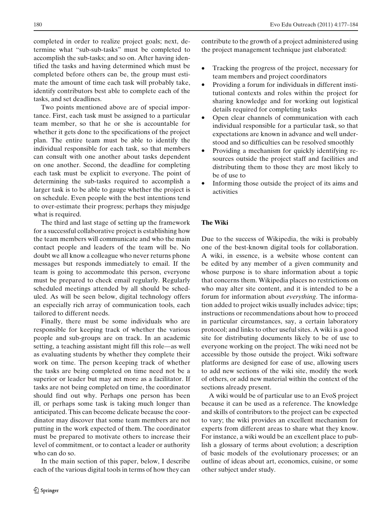completed in order to realize project goals; next, determine what "sub-sub-tasks" must be completed to accomplish the sub-tasks; and so on. After having identified the tasks and having determined which must be completed before others can be, the group must estimate the amount of time each task will probably take, identify contributors best able to complete each of the tasks, and set deadlines.

Two points mentioned above are of special importance. First, each task must be assigned to a particular team member, so that he or she is accountable for whether it gets done to the specifications of the project plan. The entire team must be able to identify the individual responsible for each task, so that members can consult with one another about tasks dependent on one another. Second, the deadline for completing each task must be explicit to everyone. The point of determining the sub-tasks required to accomplish a larger task is to be able to gauge whether the project is on schedule. Even people with the best intentions tend to over-estimate their progress; perhaps they misjudge what is required.

The third and last stage of setting up the framework for a successful collaborative project is establishing how the team members will communicate and who the main contact people and leaders of the team will be. No doubt we all know a colleague who never returns phone messages but responds immediately to email. If the team is going to accommodate this person, everyone must be prepared to check email regularly. Regularly scheduled meetings attended by all should be scheduled. As will be seen below, digital technology offers an especially rich array of communication tools, each tailored to different needs.

Finally, there must be some individuals who are responsible for keeping track of whether the various people and sub-groups are on track. In an academic setting, a teaching assistant might fill this role—as well as evaluating students by whether they complete their work on time. The person keeping track of whether the tasks are being completed on time need not be a superior or leader but may act more as a facilitator. If tasks are not being completed on time, the coordinator should find out why. Perhaps one person has been ill, or perhaps some task is taking much longer than anticipated. This can become delicate because the coordinator may discover that some team members are not putting in the work expected of them. The coordinator must be prepared to motivate others to increase their level of commitment, or to contact a leader or authority who can do so.

In the main section of this paper, below, I describe each of the various digital tools in terms of how they can contribute to the growth of a project administered using the project management technique just elaborated:

- Tracking the progress of the project, necessary for team members and project coordinators
- Providing a forum for individuals in different institutional contexts and roles within the project for sharing knowledge and for working out logistical details required for completing tasks
- Open clear channels of communication with each individual responsible for a particular task, so that expectations are known in advance and well understood and so difficulties can be resolved smoothly
- Providing a mechanism for quickly identifying resources outside the project staff and facilities and distributing them to those they are most likely to be of use to
- Informing those outside the project of its aims and activities

# **The Wiki**

Due to the success of Wikipedia, the wiki is probably one of the best-known digital tools for collaboration. A wiki, in essence, is a website whose content can be edited by any member of a given community and whose purpose is to share information about a topic that concerns them. Wikipedia places no restrictions on who may alter site content, and it is intended to be a forum for information about *everything*. The information added to project wikis usually includes advice; tips; instructions or recommendations about how to proceed in particular circumstances, say, a certain laboratory protocol; and links to other useful sites. A wiki is a good site for distributing documents likely to be of use to everyone working on the project. The wiki need not be accessible by those outside the project. Wiki software platforms are designed for ease of use, allowing users to add new sections of the wiki site, modify the work of others, or add new material within the context of the sections already present.

A wiki would be of particular use to an EvoS project because it can be used as a reference. The knowledge and skills of contributors to the project can be expected to vary; the wiki provides an excellent mechanism for experts from different areas to share what they know. For instance, a wiki would be an excellent place to publish a glossary of terms about evolution; a description of basic models of the evolutionary processes; or an outline of ideas about art, economics, cuisine, or some other subject under study.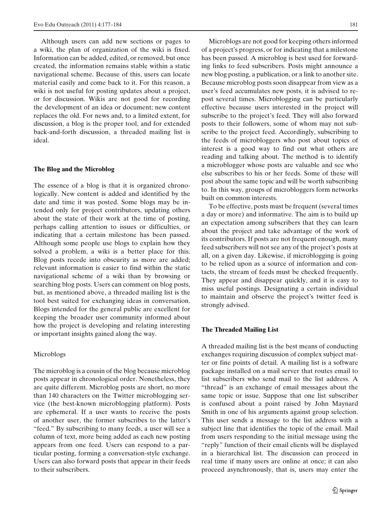Although users can add new sections or pages to a wiki, the plan of organization of the wiki is fixed. Information can be added, edited, or removed, but once created, the information remains stable within a static navigational scheme. Because of this, users can locate material easily and come back to it. For this reason, a wiki is not useful for posting updates about a project, or for discussion. Wikis are not good for recording the development of an idea or document; new content replaces the old. For news and, to a limited extent, for discussion, a blog is the proper tool, and for extended back-and-forth discussion, a threaded mailing list is ideal.

#### **The Blog and the Microblog**

The essence of a blog is that it is organized chronologically. New content is added and identified by the date and time it was posted. Some blogs may be intended only for project contributors, updating others about the state of their work at the time of posting, perhaps calling attention to issues or difficulties, or indicating that a certain milestone has been passed. Although some people use blogs to explain how they solved a problem, a wiki is a better place for this. Blog posts recede into obscurity as more are added; relevant information is easier to find within the static navigational scheme of a wiki than by browsing or searching blog posts. Users can comment on blog posts, but, as mentioned above, a threaded mailing list is the tool best suited for exchanging ideas in conversation. Blogs intended for the general public are excellent for keeping the broader user community informed about how the project is developing and relating interesting or important insights gained along the way.

#### Microblogs

The microblog is a cousin of the blog because microblog posts appear in chronological order. Nonetheless, they are quite different. Microblog posts are short, no more than 140 characters on the Twitter microblogging service (the best-known microblogging platform). Posts are ephemeral. If a user wants to receive the posts of another user, the former subscribes to the latter's "feed." By subscribing to many feeds, a user will see a column of text, more being added as each new posting appears from one feed. Users can respond to a particular posting, forming a conversation-style exchange. Users can also forward posts that appear in their feeds to their subscribers.

Microblogs are not good for keeping others informed of a project's progress, or for indicating that a milestone has been passed. A microblog is best used for forwarding links to feed subscribers. Posts might announce a new blog posting, a publication, or a link to another site. Because microblog posts soon disappear from view as a user's feed accumulates new posts, it is advised to repost several times. Microblogging can be particularly effective because users interested in the project will subscribe to the project's feed. They will also forward posts to their followers, some of whom may not subscribe to the project feed. Accordingly, subscribing to the feeds of microbloggers who post about topics of interest is a good way to find out what others are reading and talking about. The method is to identify a microblogger whose posts are valuable and see who else subscribes to his or her feeds. Some of these will post about the same topic and will be worth subscribing to. In this way, groups of microbloggers form networks built on common interests.

To be effective, posts must be frequent (several times a day or more) and informative. The aim is to build up an expectation among subscribers that they can learn about the project and take advantage of the work of its contributors. If posts are not frequent enough, many feed subscribers will not see any of the project's posts at all, on a given day. Likewise, if microblogging is going to be relied upon as a source of information and contacts, the stream of feeds must be checked frequently. They appear and disappear quickly, and it is easy to miss useful postings. Designating a certain individual to maintain and observe the project's twitter feed is strongly advised.

#### **The Threaded Mailing List**

A threaded mailing list is the best means of conducting exchanges requiring discussion of complex subject matter or fine points of detail. A mailing list is a software package installed on a mail server that routes email to list subscribers who send mail to the list address. A "thread" is an exchange of email messages about the same topic or issue. Suppose that one list subscriber is confused about a point raised by John Maynard Smith in one of his arguments against group selection. This user sends a message to the list address with a subject line that identifies the topic of the email. Mail from users responding to the initial message using the "reply" function of their email clients will be displayed in a hierarchical list. The discussion can proceed in real time if many users are online at once; it can also proceed asynchronously, that is, users may enter the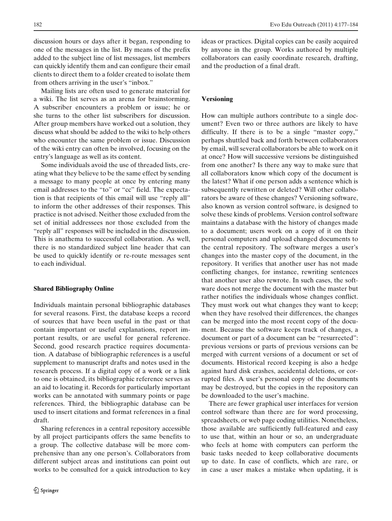discussion hours or days after it began, responding to one of the messages in the list. By means of the prefix added to the subject line of list messages, list members can quickly identify them and can configure their email clients to direct them to a folder created to isolate them from others arriving in the user's "inbox."

Mailing lists are often used to generate material for a wiki. The list serves as an arena for brainstorming. A subscriber encounters a problem or issue; he or she turns to the other list subscribers for discussion. After group members have worked out a solution, they discuss what should be added to the wiki to help others who encounter the same problem or issue. Discussion of the wiki entry can often be involved, focusing on the entry's language as well as its content.

Some individuals avoid the use of threaded lists, creating what they believe to be the same effect by sending a message to many people at once by entering many email addresses to the "to" or "cc" field. The expectation is that recipients of this email will use "reply all" to inform the other addresses of their responses. This practice is not advised. Neither those excluded from the set of initial addressees nor those excluded from the "reply all" responses will be included in the discussion. This is anathema to successful collaboration. As well, there is no standardized subject line header that can be used to quickly identify or re-route messages sent to each individual.

#### **Shared Bibliography Online**

Individuals maintain personal bibliographic databases for several reasons. First, the database keeps a record of sources that have been useful in the past or that contain important or useful explanations, report important results, or are useful for general reference. Second, good research practice requires documentation. A database of bibliographic references is a useful supplement to manuscript drafts and notes used in the research process. If a digital copy of a work or a link to one is obtained, its bibliographic reference serves as an aid to locating it. Records for particularly important works can be annotated with summary points or page references. Third, the bibliographic database can be used to insert citations and format references in a final draft.

Sharing references in a central repository accessible by all project participants offers the same benefits to a group. The collective database will be more comprehensive than any one person's. Collaborators from different subject areas and institutions can point out works to be consulted for a quick introduction to key ideas or practices. Digital copies can be easily acquired by anyone in the group. Works authored by multiple collaborators can easily coordinate research, drafting, and the production of a final draft.

#### **Versioning**

How can multiple authors contribute to a single document? Even two or three authors are likely to have difficulty. If there is to be a single "master copy," perhaps shuttled back and forth between collaborators by email, will several collaborators be able to work on it at once? How will successive versions be distinguished from one another? Is there any way to make sure that all collaborators know which copy of the document is the latest? What if one person adds a sentence which is subsequently rewritten or deleted? Will other collaborators be aware of these changes? Versioning software, also known as version control software, is designed to solve these kinds of problems. Version control software maintains a database with the history of changes made to a document; users work on a copy of it on their personal computers and upload changed documents to the central repository. The software merges a user's changes into the master copy of the document, in the repository. It verifies that another user has not made conflicting changes, for instance, rewriting sentences that another user also rewrote. In such cases, the software does not merge the document with the master but rather notifies the individuals whose changes conflict. They must work out what changes they want to keep; when they have resolved their differences, the changes can be merged into the most recent copy of the document. Because the software keeps track of changes, a document or part of a document can be "resurrected": previous versions or parts of previous versions can be merged with current versions of a document or set of documents. Historical record keeping is also a hedge against hard disk crashes, accidental deletions, or corrupted files. A user's personal copy of the documents may be destroyed, but the copies in the repository can be downloaded to the user's machine.

There are fewer graphical user interfaces for version control software than there are for word processing, spreadsheets, or web page coding utilities. Nonetheless, those available are sufficiently full-featured and easy to use that, within an hour or so, an undergraduate who feels at home with computers can perform the basic tasks needed to keep collaborative documents up to date. In case of conflicts, which are rare, or in case a user makes a mistake when updating, it is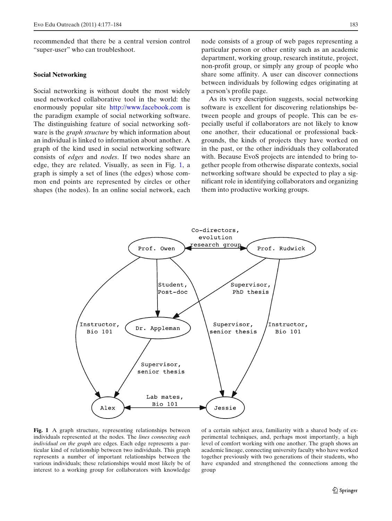recommended that there be a central version control "super-user" who can troubleshoot.

#### **Social Networking**

Social networking is without doubt the most widely used networked collaborative tool in the world: the enormously popular site <http://www.facebook.com> is the paradigm example of social networking software. The distinguishing feature of social networking software is the *graph structure* by which information about an individual is linked to information about another. A graph of the kind used in social networking software consists of *edges* and *nodes*. If two nodes share an edge, they are related. Visually, as seen in Fig. 1, a graph is simply a set of lines (the edges) whose common end points are represented by circles or other shapes (the nodes). In an online social network, each node consists of a group of web pages representing a particular person or other entity such as an academic department, working group, research institute, project, non-profit group, or simply any group of people who share some affinity. A user can discover connections between individuals by following edges originating at a person's profile page.

As its very description suggests, social networking software is excellent for discovering relationships between people and groups of people. This can be especially useful if collaborators are not likely to know one another, their educational or professional backgrounds, the kinds of projects they have worked on in the past, or the other individuals they collaborated with. Because EvoS projects are intended to bring together people from otherwise disparate contexts, social networking software should be expected to play a significant role in identifying collaborators and organizing them into productive working groups.



**Fig. 1** A graph structure, representing relationships between individuals represented at the nodes. The *lines connecting each individual on the graph* are edges. Each edge represents a particular kind of relationship between two individuals. This graph represents a number of important relationships between the various individuals; these relationships would most likely be of interest to a working group for collaborators with knowledge

of a certain subject area, familiarity with a shared body of experimental techniques, and, perhaps most importantly, a high level of comfort working with one another. The graph shows an academic lineage, connecting university faculty who have worked together previously with two generations of their students, who have expanded and strengthened the connections among the group